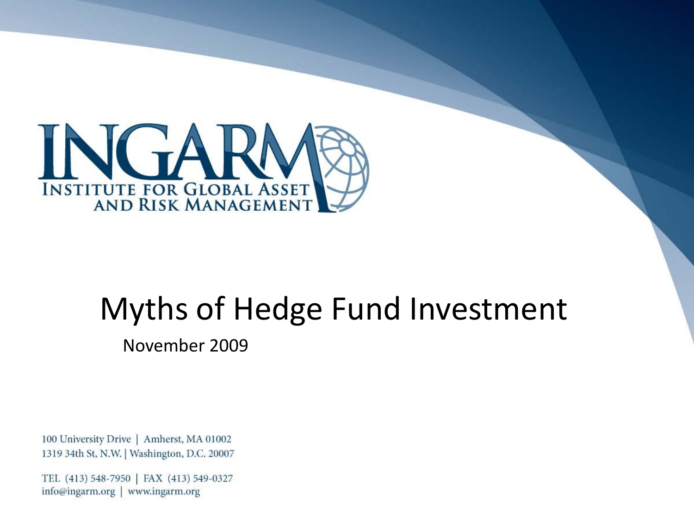

# Myths of Hedge Fund Investment

November 2009

100 University Drive | Amherst, MA 01002 1319 34th St, N.W. | Washington, D.C. 20007

TEL (413) 548-7950 | FAX (413) 549-0327 info@ingarm.org | www.ingarm.org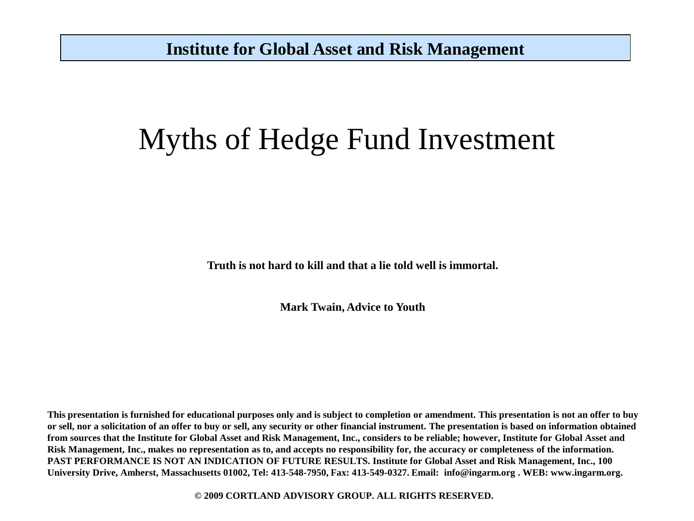## Myths of Hedge Fund Investment

**Truth is not hard to kill and that a lie told well is immortal.** 

**Mark Twain, Advice to Youth**

**This presentation is furnished for educational purposes only and is subject to completion or amendment. This presentation is not an offer to buy or sell, nor a solicitation of an offer to buy or sell, any security or other financial instrument. The presentation is based on information obtained from sources that the Institute for Global Asset and Risk Management, Inc., considers to be reliable; however, Institute for Global Asset and Risk Management, Inc., makes no representation as to, and accepts no responsibility for, the accuracy or completeness of the information. PAST PERFORMANCE IS NOT AN INDICATION OF FUTURE RESULTS. Institute for Global Asset and Risk Management, Inc., 100 University Drive, Amherst, Massachusetts 01002, Tel: 413-548-7950, Fax: 413-549-0327. Email: info@ingarm.org . WEB: www.ingarm.org.** 

**© 2009 CORTLAND ADVISORY GROUP. ALL RIGHTS RESERVED.**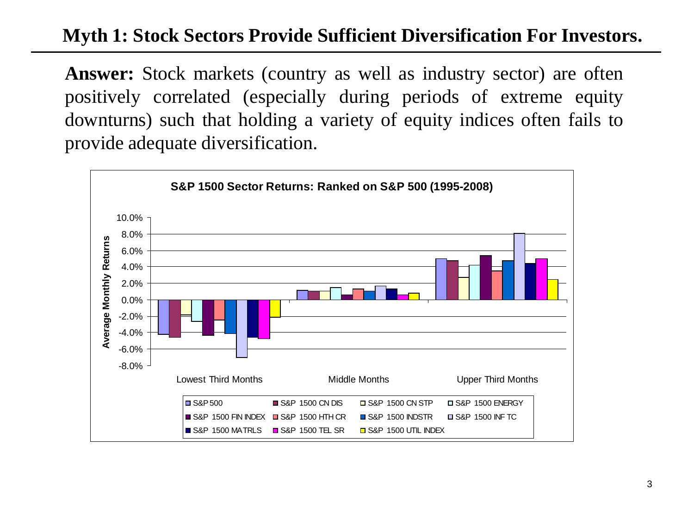## **Myth 1: Stock Sectors Provide Sufficient Diversification For Investors.**

Answer: Stock markets (country as well as industry sector) are often positively correlated (especially during periods of extreme equity downturns) such that holding a variety of equity indices often fails to provide adequate diversification.

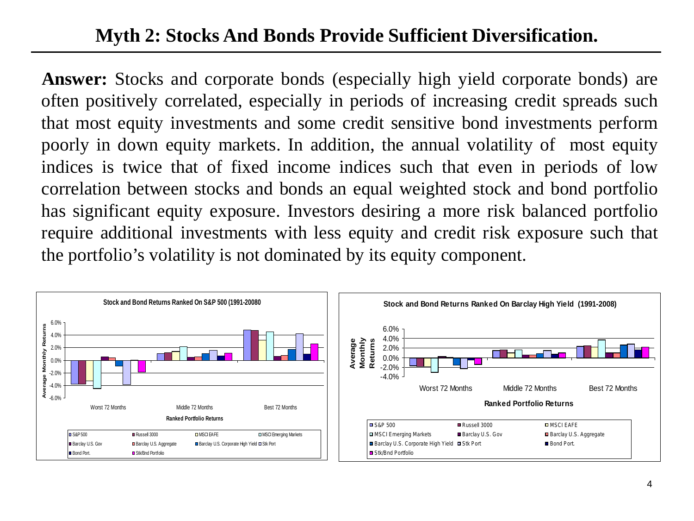## **Myth 2: Stocks And Bonds Provide Sufficient Diversification.**

Answer: Stocks and corporate bonds (especially high yield corporate bonds) are often positively correlated, especially in periods of increasing credit spreads such that most equity investments and some credit sensitive bond investments perform poorly in down equity markets. In addition, the annual volatility of most equity indices is twice that of fixed income indices such that even in periods of low correlation between stocks and bonds an equal weighted stock and bond portfolio has significant equity exposure. Investors desiring a more risk balanced portfolio require additional investments with less equity and credit risk exposure such that the portfolio's volatility is not dominated by its equity component.

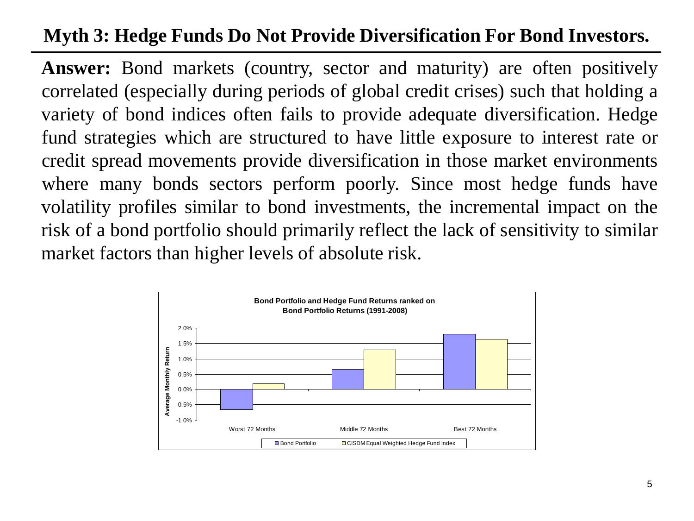## **Myth 3: Hedge Funds Do Not Provide Diversification For Bond Investors.**

Answer: Bond markets (country, sector and maturity) are often positively correlated (especially during periods of global credit crises) such that holding a variety of bond indices often fails to provide adequate diversification. Hedge fund strategies which are structured to have little exposure to interest rate or credit spread movements provide diversification in those market environments where many bonds sectors perform poorly. Since most hedge funds have volatility profiles similar to bond investments, the incremental impact on the risk of a bond portfolio should primarily reflect the lack of sensitivity to similar market factors than higher levels of absolute risk.

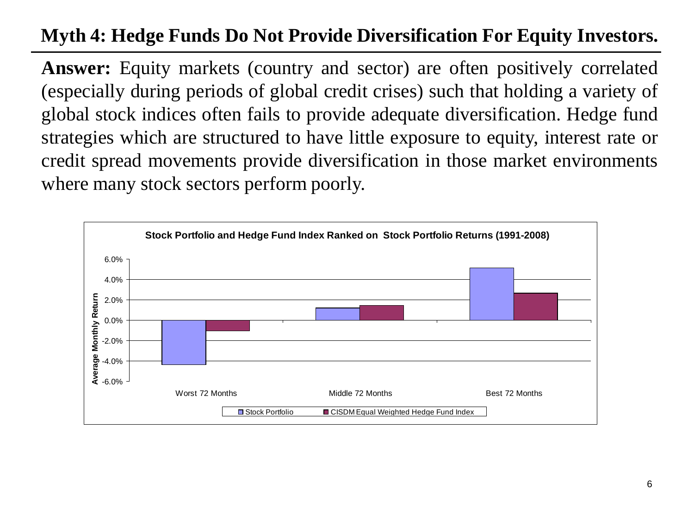## **Myth 4: Hedge Funds Do Not Provide Diversification For Equity Investors.**

Answer: Equity markets (country and sector) are often positively correlated (especially during periods of global credit crises) such that holding a variety of global stock indices often fails to provide adequate diversification. Hedge fund strategies which are structured to have little exposure to equity, interest rate or credit spread movements provide diversification in those market environments where many stock sectors perform poorly.

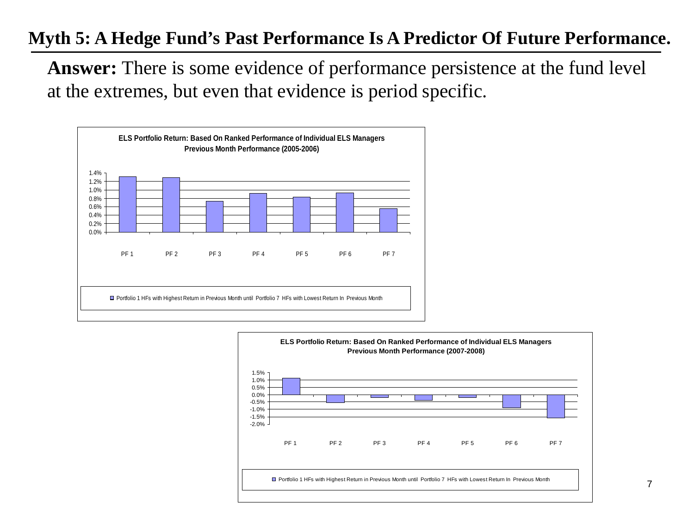#### **Myth 5: A Hedge Fund's Past Performance Is A Predictor Of Future Performance.**

**Answer:** There is some evidence of performance persistence at the fund level at the extremes, but even that evidence is period specific.



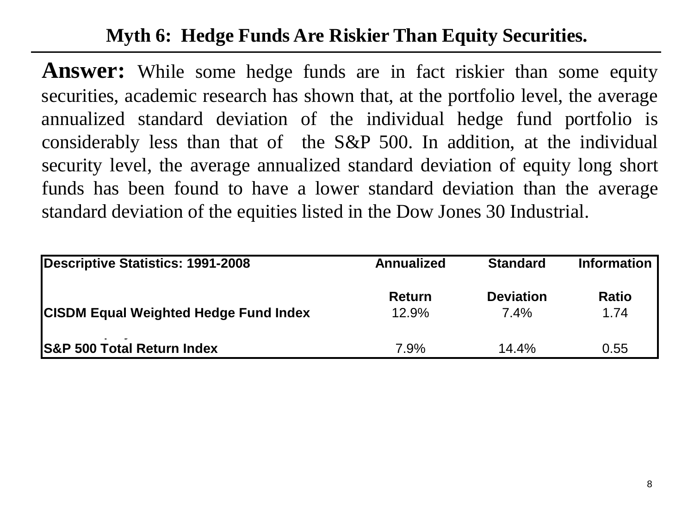## **Myth 6: Hedge Funds Are Riskier Than Equity Securities.**

Answer: While some hedge funds are in fact riskier than some equity securities, academic research has shown that, at the portfolio level, the average annualized standard deviation of the individual hedge fund portfolio is considerably less than that of the S&P 500. In addition, at the individual security level, the average annualized standard deviation of equity long short funds has been found to have a lower standard deviation than the average standard deviation of the equities listed in the Dow Jones 30 Industrial.

| Descriptive Statistics: 1991-2008            | <b>Annualized</b> | <b>Standard</b>  | <b>Information</b> |  |
|----------------------------------------------|-------------------|------------------|--------------------|--|
|                                              | <b>Return</b>     | <b>Deviation</b> | <b>Ratio</b>       |  |
| <b>CISDM Equal Weighted Hedge Fund Index</b> | 12.9%             | $7.4\%$          | 1.74               |  |
| <b>S&amp;P 500 Total Return Index</b>        | 7.9%              | 14.4%            | 0.55               |  |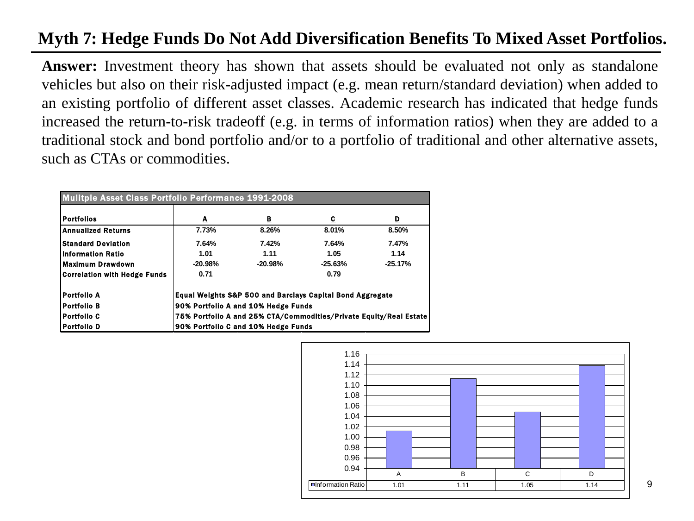#### **Myth 7: Hedge Funds Do Not Add Diversification Benefits To Mixed Asset Portfolios.**

**Answer:** Investment theory has shown that assets should be evaluated not only as standalone vehicles but also on their risk-adjusted impact (e.g. mean return/standard deviation) when added to an existing portfolio of different asset classes. Academic research has indicated that hedge funds increased the return-to-risk tradeoff (e.g. in terms of information ratios) when they are added to a traditional stock and bond portfolio and/or to a portfolio of traditional and other alternative assets, such as CTAs or commodities.

| <b>Mulitple Asset Class Portfolio Performance 1991-2008</b> |                                                                    |           |                                                                      |           |  |  |  |  |
|-------------------------------------------------------------|--------------------------------------------------------------------|-----------|----------------------------------------------------------------------|-----------|--|--|--|--|
| <b>Portfolios</b>                                           | A                                                                  | в         | C.                                                                   | D         |  |  |  |  |
| <b>Annualized Returns</b>                                   | 7.73%                                                              | 8.26%     | 8.01%                                                                | 8.50%     |  |  |  |  |
| <b>Standard Deviation</b>                                   | 7.64%                                                              | 7.42%     | 7.64%                                                                | 7.47%     |  |  |  |  |
| Information Ratio                                           | 1.01                                                               | 1.11      | 1.05                                                                 | 1.14      |  |  |  |  |
| <b>Maximum Drawdown</b>                                     | $-20.98%$                                                          | $-20.98%$ | $-25.63%$                                                            | $-25.17%$ |  |  |  |  |
| Correlation with Hedge Funds                                | 0.71                                                               |           | 0.79                                                                 |           |  |  |  |  |
| Portfolio A                                                 |                                                                    |           | <b>Equal Weights S&amp;P 500 and Barclays Capital Bond Aggregate</b> |           |  |  |  |  |
| <b>Portfolio B</b>                                          | 90% Portfolio A and 10% Hedge Funds                                |           |                                                                      |           |  |  |  |  |
| <b>Portfollo C</b>                                          | 75% Portfolio A and 25% CTA/Commodities/Private Equity/Real Estate |           |                                                                      |           |  |  |  |  |
| <b>Portfolio D</b>                                          | 90% Portfolio C and 10% Hedge Funds                                |           |                                                                      |           |  |  |  |  |

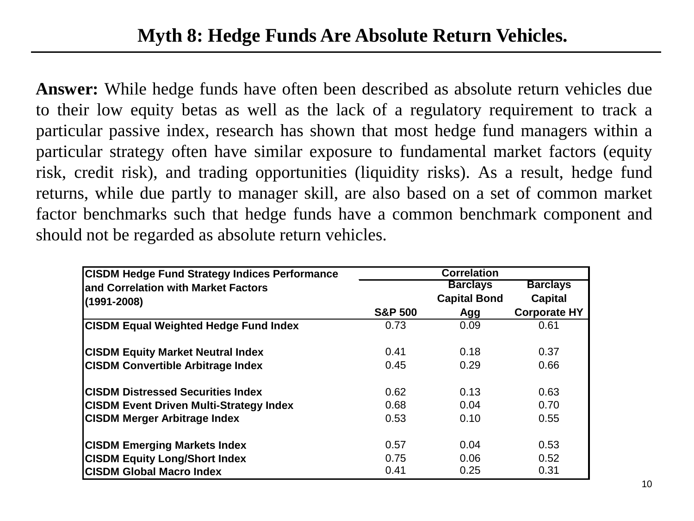Speaker Background **Answer:** While hedge funds have often been described as absolute return vehicles due to their low equity betas as well as the lack of a regulatory requirement to track a particular passive index, research has shown that most hedge fund managers within a particular strategy often have similar exposure to fundamental market factors (equity risk, credit risk), and trading opportunities (liquidity risks). As a result, hedge fund returns, while due partly to manager skill, are also based on a set of common market factor benchmarks such that hedge funds have a common benchmark component and should not be regarded as absolute return vehicles.

| <b>CISDM Hedge Fund Strategy Indices Performance</b> |                    | <b>Correlation</b>  |                     |
|------------------------------------------------------|--------------------|---------------------|---------------------|
| land Correlation with Market Factors                 |                    | <b>Barclays</b>     | <b>Barclays</b>     |
| $(1991 - 2008)$                                      |                    | <b>Capital Bond</b> | <b>Capital</b>      |
|                                                      | <b>S&amp;P 500</b> | Agg                 | <b>Corporate HY</b> |
| <b>CISDM Equal Weighted Hedge Fund Index</b>         | 0.73               | 0.09                | 0.61                |
| <b>CISDM Equity Market Neutral Index</b>             | 0.41               | 0.18                | 0.37                |
| <b>CISDM Convertible Arbitrage Index</b>             | 0.45               | 0.29                | 0.66                |
| <b>ICISDM Distressed Securities Index</b>            | 0.62               | 0.13                | 0.63                |
| <b>CISDM Event Driven Multi-Strategy Index</b>       | 0.68               | 0.04                | 0.70                |
| <b>CISDM Merger Arbitrage Index</b>                  | 0.53               | 0.10                | 0.55                |
| <b>CISDM Emerging Markets Index</b>                  | 0.57               | 0.04                | 0.53                |
| <b>CISDM Equity Long/Short Index</b>                 | 0.75               | 0.06                | 0.52                |
| <b>CISDM Global Macro Index</b>                      | 0.41               | 0.25                | 0.31                |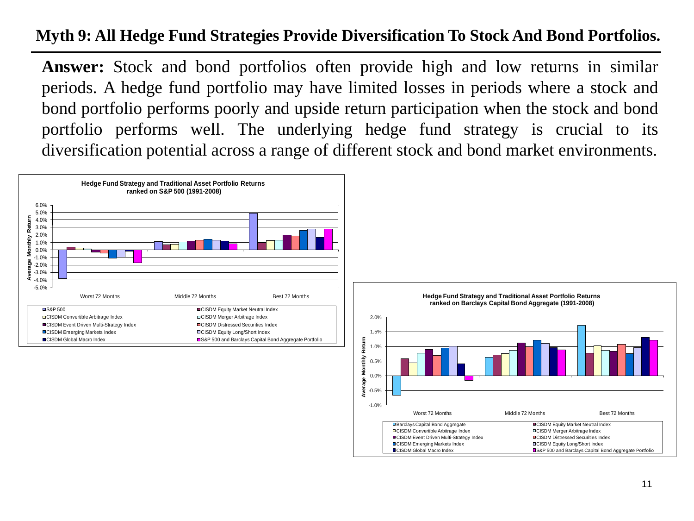#### **Myth 9: All Hedge Fund Strategies Provide Diversification To Stock And Bond Portfolios.**

**Answer:** Stock and bond portfolios often provide high and low returns in similar periods. A hedge fund portfolio may have limited losses in periods where a stock and bond portfolio performs poorly and upside return participation when the stock and bond portfolio performs well. The underlying hedge fund strategy is crucial to its diversification potential across a range of different stock and bond market environments.



-1.0% -0.5%

GS&P 500 and Barclays Capital Bond Aggregate Portfolio

Worst 72 Months Middle 72 Months Best 72 Months

■Barclays Capital Bond Aggregate CISDM Equity Market Neutral Index CISDM Convertible Arbitrage Index CISDM Merger Arbitrage Index ■CISDM Event Driven Multi-Strategy Index CISDM Distressed Securities Index ■CISDM Emerging Markets Index CISDM Equity Long/Short Index<br>■CISDM Global Macro Index CISDM Example 2010 and Barclays Capital B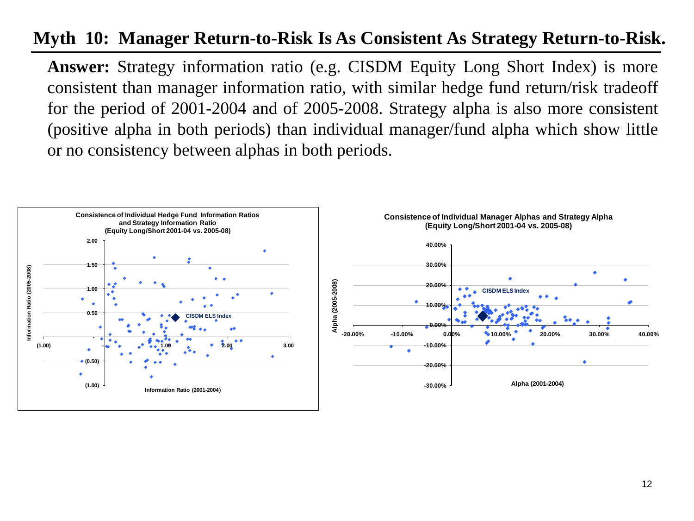#### **Myth 10: Manager Return-to-Risk Is As Consistent As Strategy Return-to-Risk.**

**Answer:** Strategy information ratio (e.g. CISDM Equity Long Short Index) is more consistent than manager information ratio, with similar hedge fund return/risk tradeoff for the period of 2001-2004 and of 2005-2008. Strategy alpha is also more consistent (positive alpha in both periods) than individual manager/fund alpha which show little or no consistency between alphas in both periods.

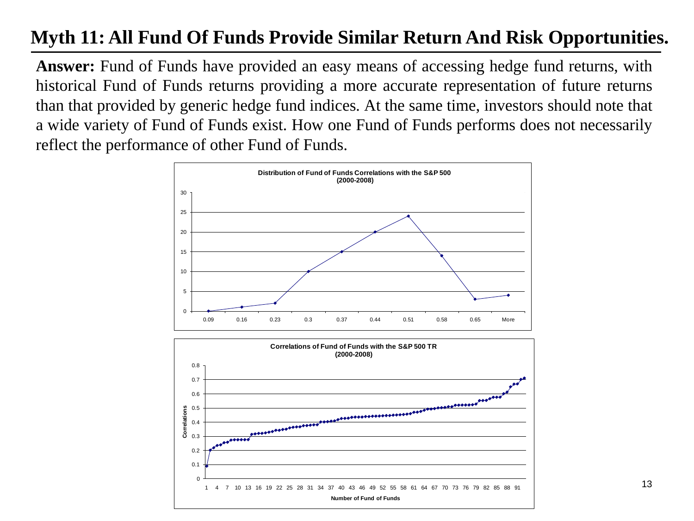## **Myth 11: All Fund Of Funds Provide Similar Return And Risk Opportunities.**

**Answer:** Fund of Funds have provided an easy means of accessing hedge fund returns, with historical Fund of Funds returns providing a more accurate representation of future returns than that provided by generic hedge fund indices. At the same time, investors should note that a wide variety of Fund of Funds exist. How one Fund of Funds performs does not necessarily reflect the performance of other Fund of Funds.



13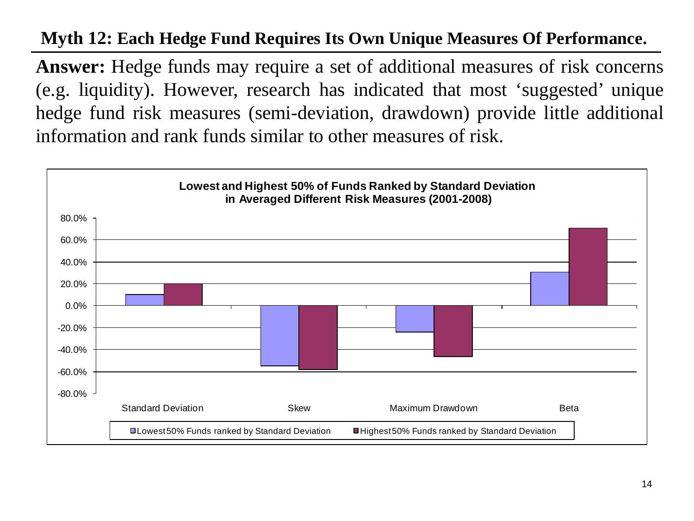#### **Myth 12: Each Hedge Fund Requires Its Own Unique Measures Of Performance.**

**Answer:** Hedge funds may require a set of additional measures of risk concerns (e.g. liquidity). However, research has indicated that most 'suggested' unique hedge fund risk measures (semi-deviation, drawdown) provide little additional information and rank funds similar to other measures of risk.

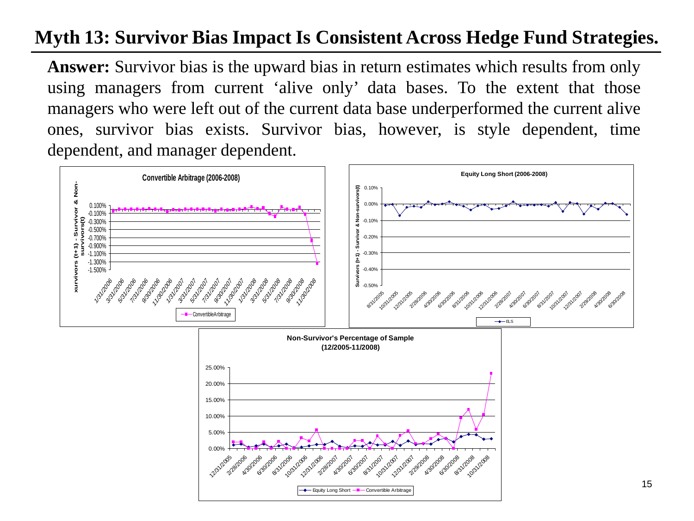## **Myth 13: Survivor Bias Impact Is Consistent Across Hedge Fund Strategies.**

**Answer:** Survivor bias is the upward bias in return estimates which results from only using managers from current 'alive only' data bases. To the extent that those managers who were left out of the current data base underperformed the current alive ones, survivor bias exists. Survivor bias, however, is style dependent, time dependent, and manager dependent.

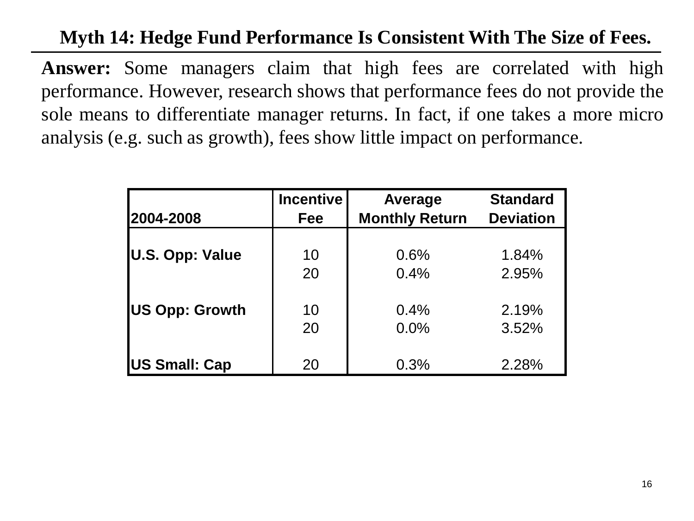## **Myth 14: Hedge Fund Performance Is Consistent With The Size of Fees.**

**Answer:** Some managers claim that high fees are correlated with high performance. However, research shows that performance fees do not provide the sole means to differentiate manager returns. In fact, if one takes a more micro analysis (e.g. such as growth), fees show little impact on performance.

|                       | <b>Incentive</b> | Average               | <b>Standard</b>  |
|-----------------------|------------------|-----------------------|------------------|
| 2004-2008             | Fee              | <b>Monthly Return</b> | <b>Deviation</b> |
|                       |                  |                       |                  |
| U.S. Opp: Value       | 10               | 0.6%                  | 1.84%            |
|                       | 20               | 0.4%                  | 2.95%            |
|                       |                  |                       |                  |
| <b>US Opp: Growth</b> | 10               | 0.4%                  | 2.19%            |
|                       | 20               | 0.0%                  | 3.52%            |
|                       |                  |                       |                  |
| <b>US Small: Cap</b>  | 20               | 0.3%                  | 2.28%            |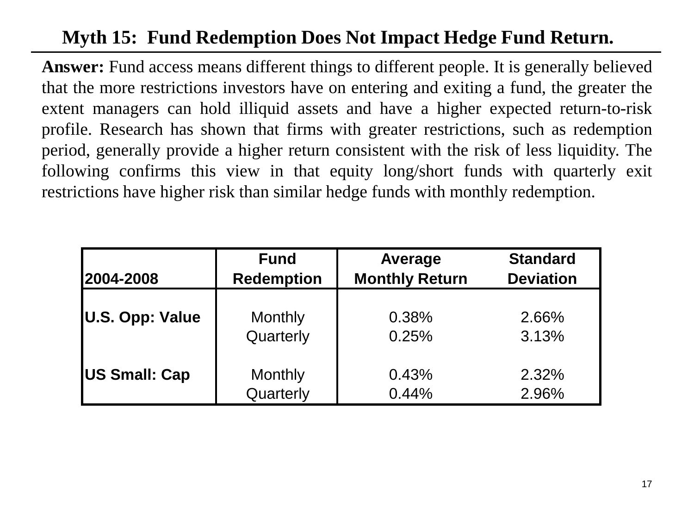## **Myth 15: Fund Redemption Does Not Impact Hedge Fund Return.**

**Answer:** Fund access means different things to different people. It is generally believed that the more restrictions investors have on entering and exiting a fund, the greater the extent managers can hold illiquid assets and have a higher expected return-to-risk profile. Research has shown that firms with greater restrictions, such as redemption period, generally provide a higher return consistent with the risk of less liquidity. The following confirms this view in that equity long/short funds with quarterly exit restrictions have higher risk than similar hedge funds with monthly redemption.

| 2004-2008              | <b>Fund</b>       | Average               | <b>Standard</b>  |
|------------------------|-------------------|-----------------------|------------------|
|                        | <b>Redemption</b> | <b>Monthly Return</b> | <b>Deviation</b> |
|                        |                   |                       |                  |
| <b>U.S. Opp: Value</b> | Monthly           | 0.38%                 | 2.66%            |
|                        | Quarterly         | 0.25%                 | 3.13%            |
| <b>US Small: Cap</b>   | Monthly           | 0.43%                 | 2.32%            |
|                        | Quarterly         | 0.44%                 | 2.96%            |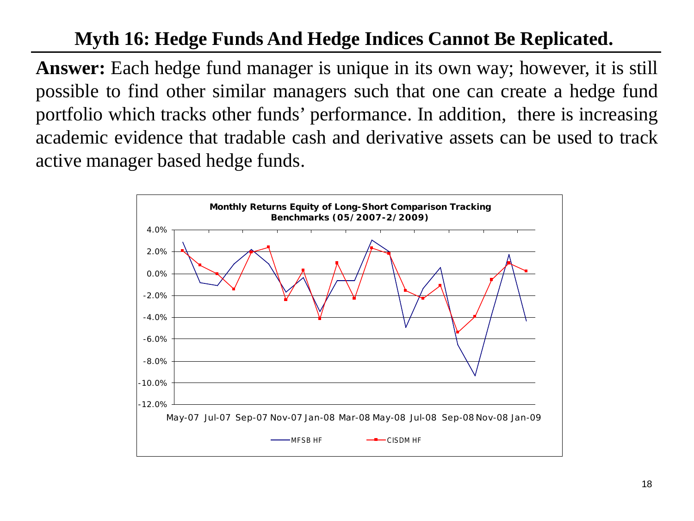## **Myth 16: Hedge Funds And Hedge Indices Cannot Be Replicated.**

**Answer:** Each hedge fund manager is unique in its own way; however, it is still possible to find other similar managers such that one can create a hedge fund portfolio which tracks other funds' performance. In addition, there is increasing academic evidence that tradable cash and derivative assets can be used to track active manager based hedge funds.

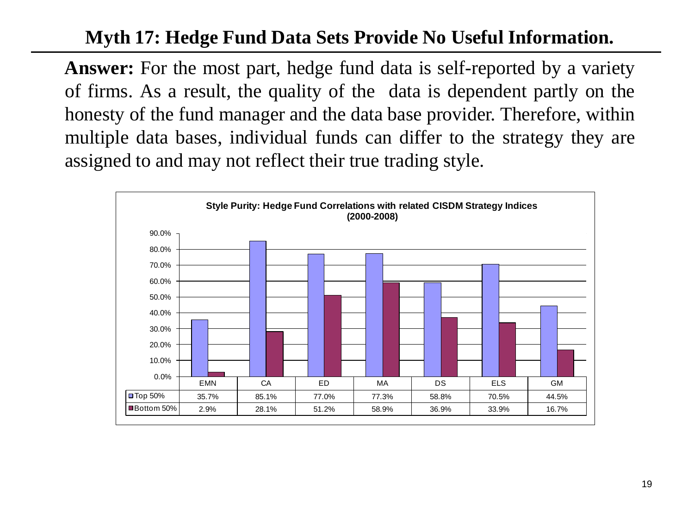## **Myth 17: Hedge Fund Data Sets Provide No Useful Information.**

**Answer:** For the most part, hedge fund data is self-reported by a variety of firms. As a result, the quality of the data is dependent partly on the honesty of the fund manager and the data base provider. Therefore, within multiple data bases, individual funds can differ to the strategy they are assigned to and may not reflect their true trading style.

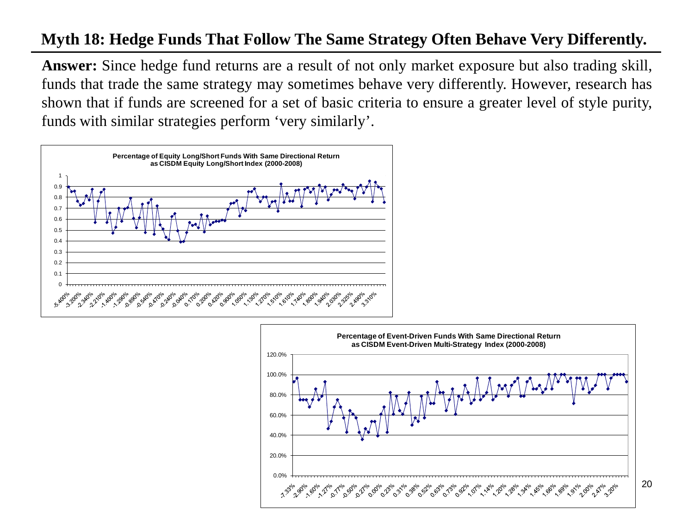#### **Myth 18: Hedge Funds That Follow The Same Strategy Often Behave Very Differently.**

**Answer:** Since hedge fund returns are a result of not only market exposure but also trading skill, funds that trade the same strategy may sometimes behave very differently. However, research has shown that if funds are screened for a set of basic criteria to ensure a greater level of style purity, funds with similar strategies perform 'very similarly'.





20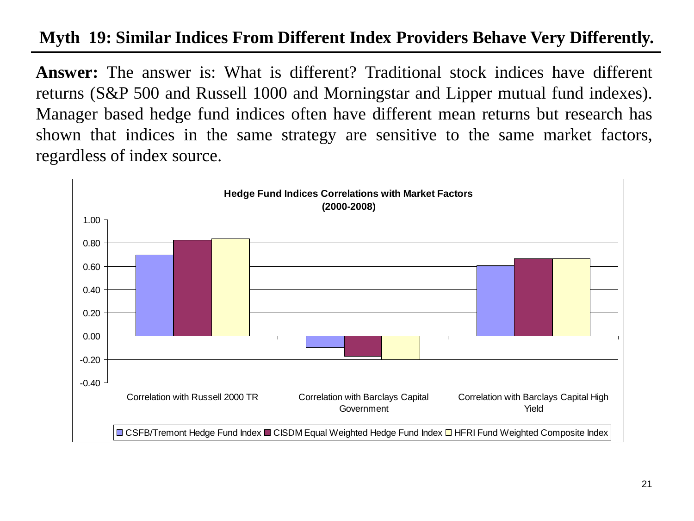#### **Myth 19: Similar Indices From Different Index Providers Behave Very Differently.**

**Answer:** The answer is: What is different? Traditional stock indices have different returns (S&P 500 and Russell 1000 and Morningstar and Lipper mutual fund indexes). Manager based hedge fund indices often have different mean returns but research has shown that indices in the same strategy are sensitive to the same market factors, regardless of index source.

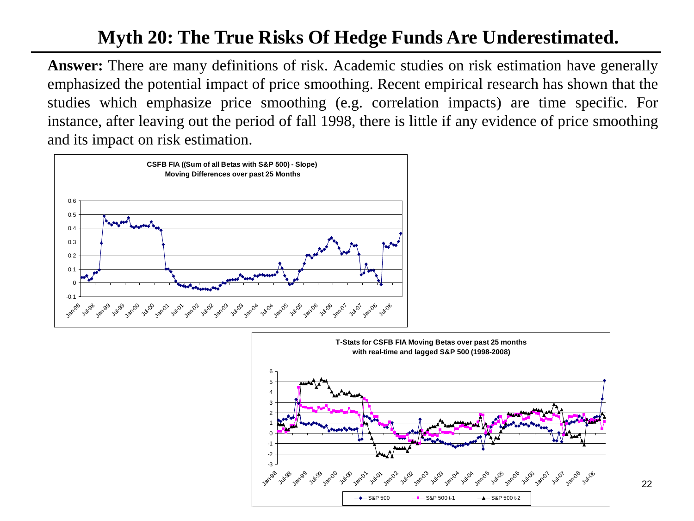## **Myth 20: The True Risks Of Hedge Funds Are Underestimated.**

**Answer:** There are many definitions of risk. Academic studies on risk estimation have generally emphasized the potential impact of price smoothing. Recent empirical research has shown that the studies which emphasize price smoothing (e.g. correlation impacts) are time specific. For instance, after leaving out the period of fall 1998, there is little if any evidence of price smoothing and its impact on risk estimation.



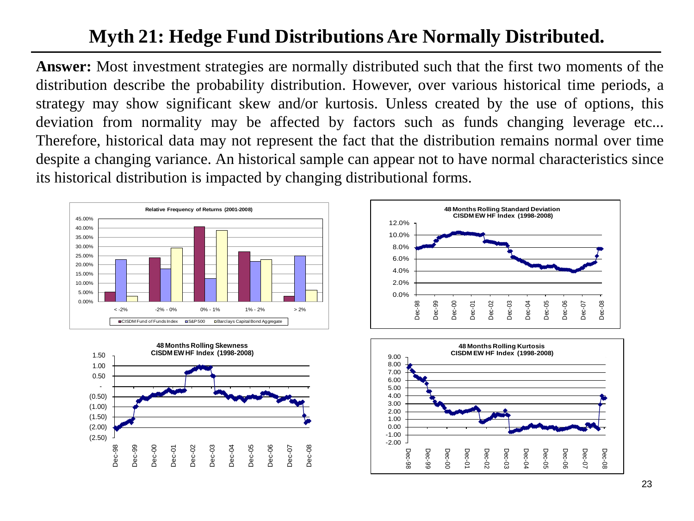## **Myth 21: Hedge Fund Distributions Are Normally Distributed.**

**Answer:** Most investment strategies are normally distributed such that the first two moments of the distribution describe the probability distribution. However, over various historical time periods, a strategy may show significant skew and/or kurtosis. Unless created by the use of options, this deviation from normality may be affected by factors such as funds changing leverage etc... Therefore, historical data may not represent the fact that the distribution remains normal over time despite a changing variance. An historical sample can appear not to have normal characteristics since its historical distribution is impacted by changing distributional forms.







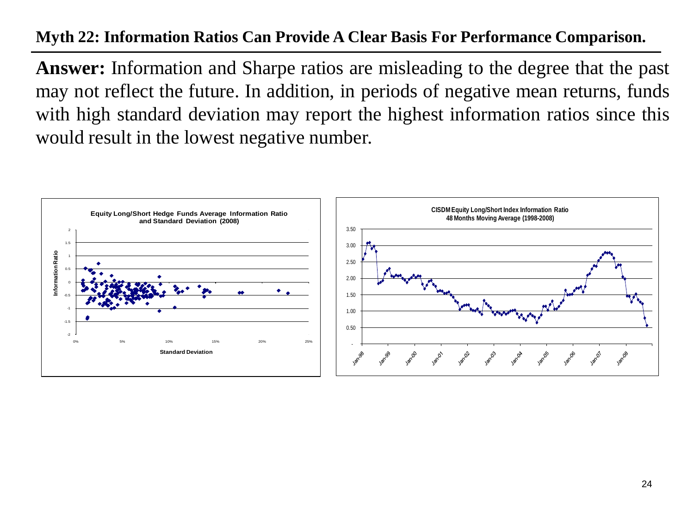#### **Myth 22: Information Ratios Can Provide A Clear Basis For Performance Comparison.**

**Answer:** Information and Sharpe ratios are misleading to the degree that the past may not reflect the future. In addition, in periods of negative mean returns, funds with high standard deviation may report the highest information ratios since this would result in the lowest negative number.

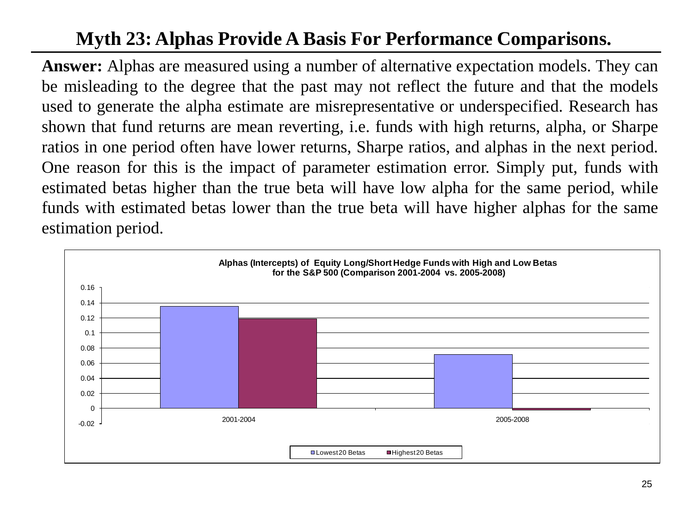## **Myth 23: Alphas Provide A Basis For Performance Comparisons.**

**Answer:** Alphas are measured using a number of alternative expectation models. They can be misleading to the degree that the past may not reflect the future and that the models used to generate the alpha estimate are misrepresentative or underspecified. Research has shown that fund returns are mean reverting, i.e. funds with high returns, alpha, or Sharpe ratios in one period often have lower returns, Sharpe ratios, and alphas in the next period. One reason for this is the impact of parameter estimation error. Simply put, funds with estimated betas higher than the true beta will have low alpha for the same period, while funds with estimated betas lower than the true beta will have higher alphas for the same estimation period.

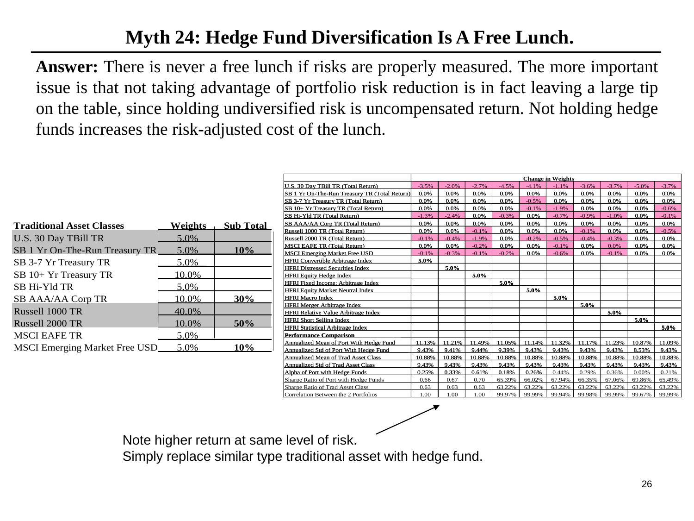## **Myth 24: Hedge Fund Diversification Is A Free Lunch.**

**Answer:** There is never a free lunch if risks are properly measured. The more important issue is that not taking advantage of portfolio risk reduction is in fact leaving a large tip on the table, since holding undiversified risk is uncompensated return. Not holding hedge funds increases the risk-adjusted cost of the lunch.

| <b>Traditional Asset Classes</b>     | <b>Weights</b> | <b>Sub Total</b> |
|--------------------------------------|----------------|------------------|
| U.S. 30 Day TBill TR                 | 5.0%           |                  |
| SB 1 Yr On-The-Run Treasury TR       | 5.0%           | 10%              |
| SB 3-7 Yr Treasury TR                | 5.0%           |                  |
| SB 10+ Yr Treasury TR                | 10.0%          |                  |
| <b>SB Hi-Yld TR</b>                  | 5.0%           |                  |
| SB AAA/AA Corp TR                    | 10.0%          | 30%              |
| Russell 1000 TR                      | 40.0%          |                  |
| Russell 2000 TR                      | 10.0%          | 50%              |
| <b>MSCI EAFE TR</b>                  | 5.0%           |                  |
| <b>MSCI Emerging Market Free USD</b> | 5.0%           | 10%              |

|                                               | <b>Change in Weights</b> |         |         |         |         |         |         |         |         |          |
|-----------------------------------------------|--------------------------|---------|---------|---------|---------|---------|---------|---------|---------|----------|
| U.S. 30 Day TBill TR (Total Return)           | $-3.5%$                  | $-2.0%$ | $-2.7%$ | $-4.5%$ | $-4.1%$ | $-1.1%$ | $-3.6%$ | $-3.7%$ | $-5.0%$ | $-3.7\%$ |
| SB 1 Yr On-The-Run Treasury TR (Total Return) | 0.0%                     | 0.0%    | 0.0%    | 0.0%    | 0.0%    | 0.0%    | 0.0%    | 0.0%    | 0.0%    | 0.0%     |
| SB 3-7 Yr Treasury TR (Total Return)          | 0.0%                     | 0.0%    | 0.0%    | 0.0%    | $-0.5%$ | 0.0%    | 0.0%    | 0.0%    | 0.0%    | 0.0%     |
| SB 10+ Yr Treasury TR (Total Return)          | 0.0%                     | 0.0%    | 0.0%    | 0.0%    | $-0.1%$ | $-1.9%$ | 0.0%    | 0.0%    | 0.0%    | $-0.6%$  |
| SB Hi-Yld TR (Total Return)                   | $-1.3%$                  | $-2.4%$ | 0.0%    | $-0.3%$ | 0.0%    | $-0.7%$ | $-0.9%$ | $-1.0%$ | 0.0%    | $-0.1\%$ |
| SB AAA/AA Corp TR (Total Return)              | 0.0%                     | 0.0%    | 0.0%    | 0.0%    | 0.0%    | 0.0%    | 0.0%    | 0.0%    | 0.0%    | 0.0%     |
| Russell 1000 TR (Total Return)                | 0.0%                     | 0.0%    | $-0.1%$ | 0.0%    | 0.0%    | 0.0%    | $-0.1%$ | 0.0%    | 0.0%    | $-0.5%$  |
| Russell 2000 TR (Total Return)                | $-0.1%$                  | $-0.4%$ | $-1.9%$ | 0.0%    | $-0.2%$ | $-0.5%$ | $-0.4%$ | $-0.3%$ | 0.0%    | 0.0%     |
| <b>MSCI EAFE TR (Total Return)</b>            | 0.0%                     | 0.0%    | $-0.2%$ | 0.0%    | 0.0%    | $-0.1%$ | 0.0%    | 0.0%    | 0.0%    | 0.0%     |
| <b>MSCI Emerging Market Free USD</b>          | $-0.1%$                  | $-0.3%$ | $-0.1%$ | $-0.2%$ | 0.0%    | $-0.6%$ | 0.0%    | $-0.1%$ | 0.0%    | 0.0%     |
| <b>HFRI Convertible Arbitrage Index</b>       | 5.0%                     |         |         |         |         |         |         |         |         |          |
| <b>HFRI Distressed Securities Index</b>       |                          | 5.0%    |         |         |         |         |         |         |         |          |
| <b>HFRI Equity Hedge Index</b>                |                          |         | 5.0%    |         |         |         |         |         |         |          |
| <b>HFRI Fixed Income: Arbitrage Index</b>     |                          |         |         | 5.0%    |         |         |         |         |         |          |
| <b>HFRI Equity Market Neutral Index</b>       |                          |         |         |         | 5.0%    |         |         |         |         |          |
| <b>HFRI Macro Index</b>                       |                          |         |         |         |         | 5.0%    |         |         |         |          |
| <b>HFRI Merger Arbitrage Index</b>            |                          |         |         |         |         |         | 5.0%    |         |         |          |
| <b>HFRI Relative Value Arbitrage Index</b>    |                          |         |         |         |         |         |         | 5.0%    |         |          |
| <b>HFRI Short Selling Index</b>               |                          |         |         |         |         |         |         |         | 5.0%    |          |
| <b>HFRI Statistical Arbitrage Index</b>       |                          |         |         |         |         |         |         |         |         | 5.0%     |
| <b>Performance Comparison</b>                 |                          |         |         |         |         |         |         |         |         |          |
| Annualized Mean of Port With Hedge Fund       | 11.13%                   | 11.21%  | 11.49%  | 11.05%  | 11.14%  | 1.32%   | 11.17%  | 11.23%  | 10.87%  | 11.09%   |
| Annualized Std of Port With Hedge Fund        | 9.43%                    | 9.41%   | 9.44%   | 9.39%   | 9.43%   | 9.43%   | 9.43%   | 9.43%   | 8.53%   | 9.43%    |
| <b>Annualized Mean of Trad Asset Class</b>    | 10.88%                   | 10.88%  | 10.88%  | 10.88%  | 10.88%  | 10.88%  | 10.88%  | 10.88%  | 10.88%  | 10.88%   |
| <b>Annualized Std of Trad Asset Class</b>     | 9.43%                    | 9.43%   | 9.43%   | 9.43%   | 9.43%   | 9.43%   | 9.43%   | 9.43%   | 9.43%   | 9.43%    |
| Alpha of Port with Hedge Funds                | 0.25%                    | 0.33%   | 0.61%   | 0.18%   | 0.26%   | 0.44%   | 0.29%   | 0.36%   | 0.00%   | 0.21%    |
| Sharpe Ratio of Port with Hedge Funds         | 0.66                     | 0.67    | 0.70    | 65.39%  | 66.02%  | 67.94%  | 66.35%  | 67.06%  | 69.86%  | 65.49%   |
| Sharpe Ratio of Trad Asset Class              | 0.63                     | 0.63    | 0.63    | 63.22%  | 63.22%  | 63.22%  | 63.22%  | 63.22%  | 63.22%  | 63.22%   |
| Correlation Between the 2 Portfolios          | 1.00                     | 1.00    | 1.00    | 99.97%  | 99.99%  | 99.94%  | 99.98%  | 99.99%  | 99.67%  | 99.99%   |

Note higher return at same level of risk.

Simply replace similar type traditional asset with hedge fund.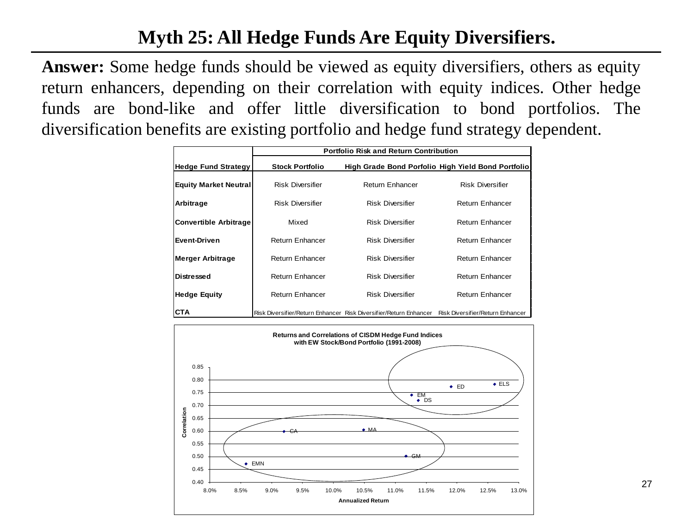## **Myth 25: All Hedge Funds Are Equity Diversifiers.**

**Answer:** Some hedge funds should be viewed as equity diversifiers, others as equity return enhancers, depending on their correlation with equity indices. Other hedge funds are bond-like and offer little diversification to bond portfolios. The diversification benefits are existing portfolio and hedge fund strategy dependent.

|                              |                         | <b>Portfolio Risk and Return Contribution</b>                     |                                                    |
|------------------------------|-------------------------|-------------------------------------------------------------------|----------------------------------------------------|
| <b>Hedge Fund Strategy</b>   | <b>Stock Portfolio</b>  |                                                                   | High Grade Bond Porfolio High Yield Bond Portfolio |
| <b>Equity Market Neutral</b> | <b>Risk Diversifier</b> | <b>Return Enhancer</b>                                            | <b>Risk Diversifier</b>                            |
| Arbitrage                    | <b>Risk Diversifier</b> | <b>Risk Diversifier</b>                                           | Return Enhancer                                    |
| <b>Convertible Arbitrage</b> | Mixed                   | <b>Risk Diversifier</b>                                           | Return Enhancer                                    |
| <b>Event-Driven</b>          | Return Enhancer         | <b>Risk Diversifier</b>                                           | Return Enhancer                                    |
| <b>Merger Arbitrage</b>      | Return Enhancer         | <b>Risk Diversifier</b>                                           | Return Enhancer                                    |
| <b>Distressed</b>            | Return Enhancer         | <b>Risk Diversifier</b>                                           | Return Enhancer                                    |
| <b>Hedge Equity</b>          | Return Enhancer         | <b>Risk Diversifier</b>                                           | Return Enhancer                                    |
| <b>CTA</b>                   |                         | Risk Diversifier/Return Enhancer Risk Diversifier/Return Enhancer | Risk Diversifier/Return Enhancer                   |

![](_page_26_Figure_3.jpeg)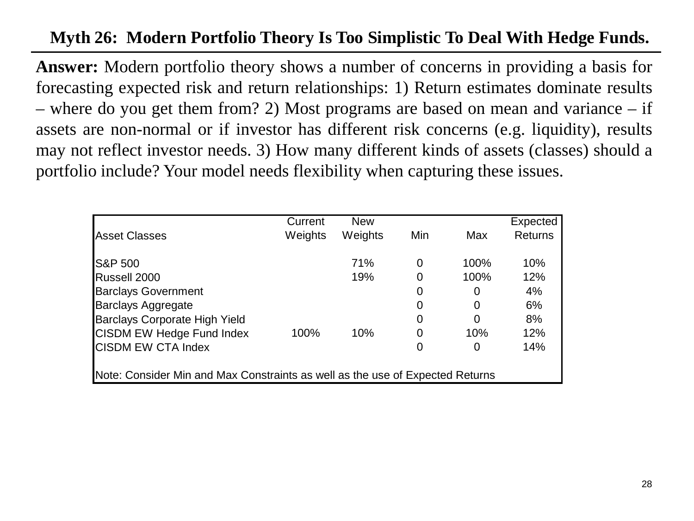#### **Myth 26: Modern Portfolio Theory Is Too Simplistic To Deal With Hedge Funds.**

**Answer:** Modern portfolio theory shows a number of concerns in providing a basis for forecasting expected risk and return relationships: 1) Return estimates dominate results – where do you get them from? 2) Most programs are based on mean and variance – if assets are non-normal or if investor has different risk concerns (e.g. liquidity), results may not reflect investor needs. 3) How many different kinds of assets (classes) should a portfolio include? Your model needs flexibility when capturing these issues.

|                                                                               | Current | <b>New</b> |                |      | Expected       |  |  |
|-------------------------------------------------------------------------------|---------|------------|----------------|------|----------------|--|--|
| <b>Asset Classes</b>                                                          | Weights | Weights    | Min            | Max  | <b>Returns</b> |  |  |
| <b>S&amp;P 500</b>                                                            |         | 71%        | 0              | 100% | 10%            |  |  |
| Russell 2000                                                                  |         | 19%        | 0              | 100% | 12%            |  |  |
| <b>Barclays Government</b>                                                    |         |            | 0              | 0    | 4%             |  |  |
| <b>Barclays Aggregate</b>                                                     |         |            | 0              | 0    | 6%             |  |  |
| Barclays Corporate High Yield                                                 |         |            | $\overline{0}$ | 0    | 8%             |  |  |
| <b>CISDM EW Hedge Fund Index</b>                                              | 100%    | 10%        | $\overline{0}$ | 10%  | 12%            |  |  |
| <b>CISDM EW CTA Index</b>                                                     |         |            | 0              | 0    | 14%            |  |  |
|                                                                               |         |            |                |      |                |  |  |
| Note: Consider Min and Max Constraints as well as the use of Expected Returns |         |            |                |      |                |  |  |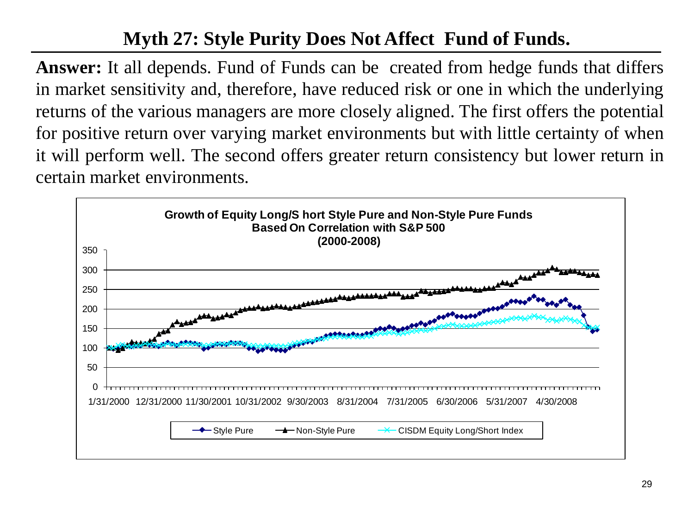## **Myth 27: Style Purity Does Not Affect Fund of Funds.**

**Answer:** It all depends. Fund of Funds can be created from hedge funds that differs in market sensitivity and, therefore, have reduced risk or one in which the underlying returns of the various managers are more closely aligned. The first offers the potential for positive return over varying market environments but with little certainty of when it will perform well. The second offers greater return consistency but lower return in certain market environments.

![](_page_28_Figure_2.jpeg)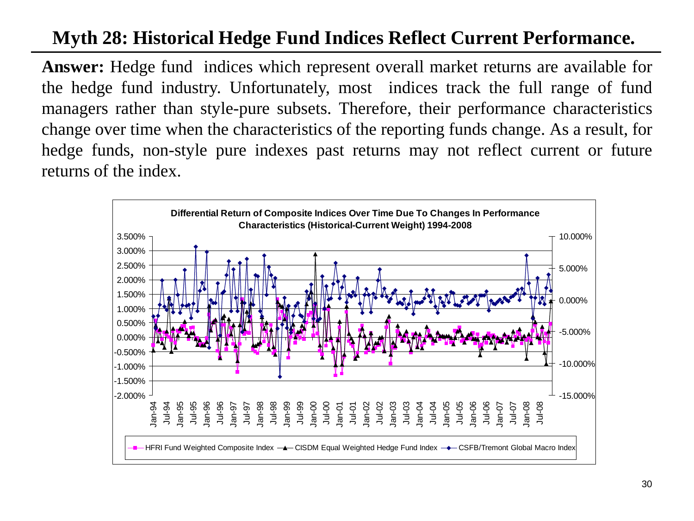## **Myth 28: Historical Hedge Fund Indices Reflect Current Performance.**

**Answer:** Hedge fund indices which represent overall market returns are available for the hedge fund industry. Unfortunately, most indices track the full range of fund managers rather than style-pure subsets. Therefore, their performance characteristics change over time when the characteristics of the reporting funds change. As a result, for hedge funds, non-style pure indexes past returns may not reflect current or future returns of the index.

![](_page_29_Figure_2.jpeg)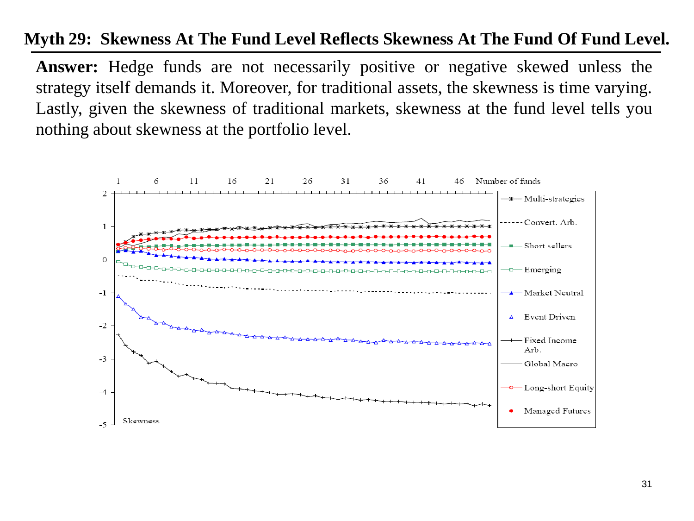#### **Myth 29: Skewness At The Fund Level Reflects Skewness At The Fund Of Fund Level.**

**Answer:** Hedge funds are not necessarily positive or negative skewed unless the strategy itself demands it. Moreover, for traditional assets, the skewness is time varying. Lastly, given the skewness of traditional markets, skewness at the fund level tells you nothing about skewness at the portfolio level.

![](_page_30_Figure_2.jpeg)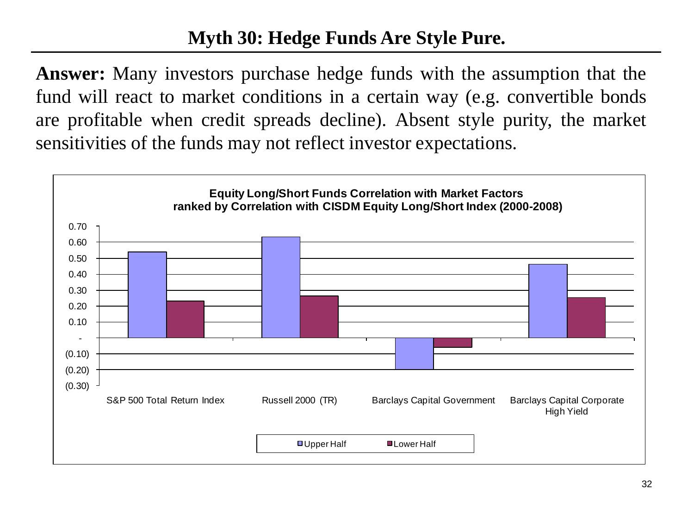## **Myth 30: Hedge Funds Are Style Pure.**

**Answer:** Many investors purchase hedge funds with the assumption that the fund will react to market conditions in a certain way (e.g. convertible bonds are profitable when credit spreads decline). Absent style purity, the market sensitivities of the funds may not reflect investor expectations.

![](_page_31_Figure_2.jpeg)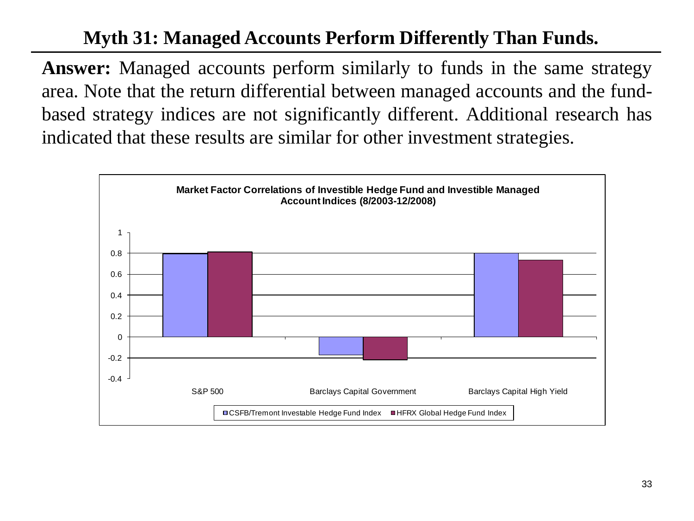## **Myth 31: Managed Accounts Perform Differently Than Funds.**

**Answer:** Managed accounts perform similarly to funds in the same strategy area. Note that the return differential between managed accounts and the fundbased strategy indices are not significantly different. Additional research has indicated that these results are similar for other investment strategies.

![](_page_32_Figure_2.jpeg)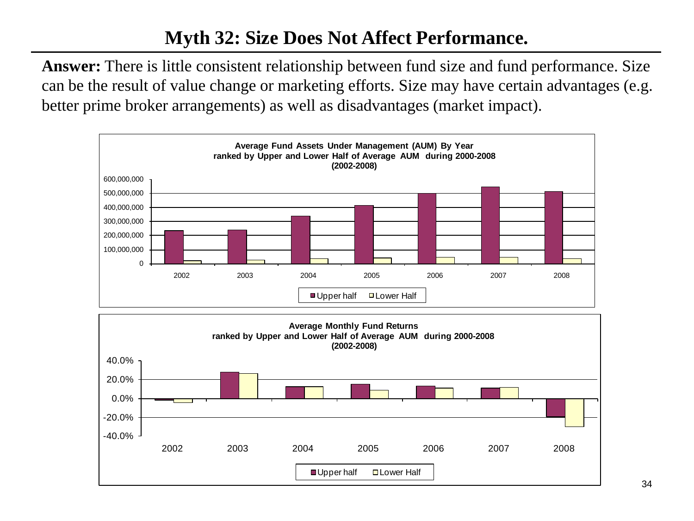**Answer:** There is little consistent relationship between fund size and fund performance. Size can be the result of value change or marketing efforts. Size may have certain advantages (e.g. better prime broker arrangements) as well as disadvantages (market impact).

![](_page_33_Figure_2.jpeg)

![](_page_33_Figure_3.jpeg)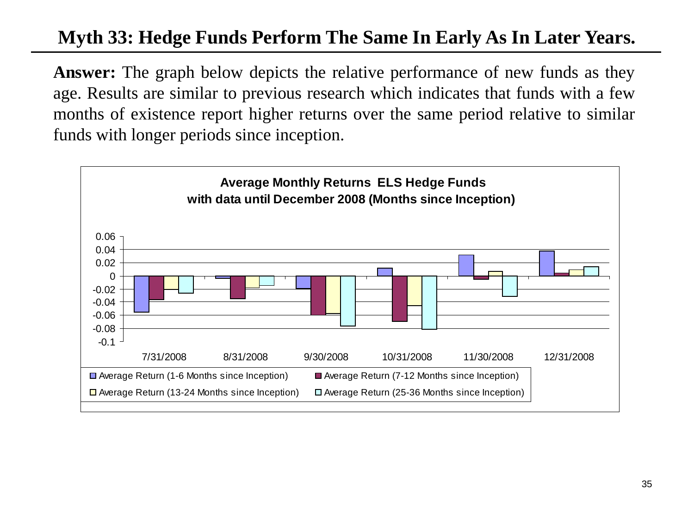## **Myth 33: Hedge Funds Perform The Same In Early As In Later Years.**

**Answer:** The graph below depicts the relative performance of new funds as they age. Results are similar to previous research which indicates that funds with a few months of existence report higher returns over the same period relative to similar funds with longer periods since inception.

![](_page_34_Figure_2.jpeg)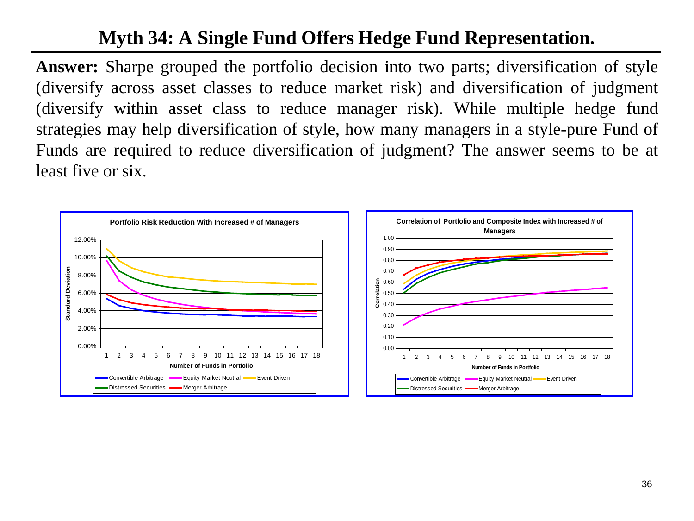## **Myth 34: A Single Fund Offers Hedge Fund Representation.**

**Answer:** Sharpe grouped the portfolio decision into two parts; diversification of style (diversify across asset classes to reduce market risk) and diversification of judgment (diversify within asset class to reduce manager risk). While multiple hedge fund strategies may help diversification of style, how many managers in a style-pure Fund of Funds are required to reduce diversification of judgment? The answer seems to be at least five or six.

![](_page_35_Figure_2.jpeg)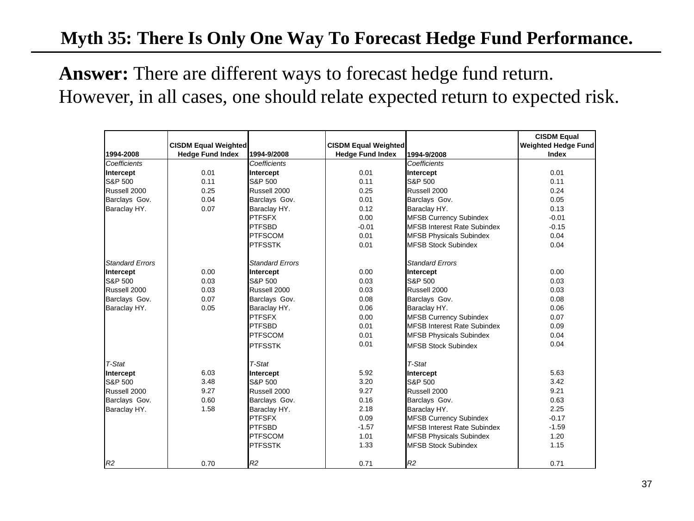## **Myth 35: There Is Only One Way To Forecast Hedge Fund Performance.**

**Answer:** There are different ways to forecast hedge fund return. However, in all cases, one should relate expected return to expected risk.

|                        |                             |                        |                             |                                    | <b>CISDM Equal</b>         |
|------------------------|-----------------------------|------------------------|-----------------------------|------------------------------------|----------------------------|
|                        | <b>CISDM Equal Weighted</b> |                        | <b>CISDM Equal Weighted</b> |                                    | <b>Weighted Hedge Fund</b> |
| 1994-2008              | <b>Hedge Fund Index</b>     | 1994-9/2008            | <b>Hedge Fund Index</b>     | 1994-9/2008                        | Index                      |
| Coefficients           |                             | Coefficients           |                             | Coefficients                       |                            |
| Intercept              | 0.01                        | Intercept              | 0.01                        | Intercept                          | 0.01                       |
| S&P 500                | 0.11                        | S&P 500                | 0.11                        | S&P 500                            | 0.11                       |
| Russell 2000           | 0.25                        | Russell 2000           | 0.25                        | Russell 2000                       | 0.24                       |
| Barclays Gov.          | 0.04                        | Barclays Gov.          | 0.01                        | Barclays Gov.                      | 0.05                       |
| Baraclay HY.           | 0.07                        | Baraclay HY.           | 0.12                        | Baraclay HY.                       | 0.13                       |
|                        |                             | <b>PTFSFX</b>          | 0.00                        | <b>MFSB Currency Subindex</b>      | $-0.01$                    |
|                        |                             | <b>PTFSBD</b>          | $-0.01$                     | <b>MFSB Interest Rate Subindex</b> | $-0.15$                    |
|                        |                             | <b>PTFSCOM</b>         | 0.01                        | <b>MFSB Physicals Subindex</b>     | 0.04                       |
|                        |                             | <b>PTFSSTK</b>         | 0.01                        | <b>MFSB Stock Subindex</b>         | 0.04                       |
| <b>Standard Errors</b> |                             | <b>Standard Errors</b> |                             | <b>Standard Errors</b>             |                            |
| Intercept              | 0.00                        | Intercept              | 0.00                        | Intercept                          | 0.00                       |
| S&P 500                | 0.03                        | S&P 500                | 0.03                        | S&P 500                            | 0.03                       |
| Russell 2000           | 0.03                        | Russell 2000           | 0.03                        | Russell 2000                       | 0.03                       |
| Barclays Gov.          | 0.07                        | Barclays Gov.          | 0.08                        | Barclays Gov.                      | 0.08                       |
| Baraclay HY.           | 0.05                        | Baraclay HY.           | 0.06                        | Baraclay HY.                       | 0.06                       |
|                        |                             | <b>PTFSFX</b>          | 0.00                        | <b>MFSB Currency Subindex</b>      | 0.07                       |
|                        |                             | <b>PTFSBD</b>          | 0.01                        | <b>MFSB Interest Rate Subindex</b> | 0.09                       |
|                        |                             | <b>PTFSCOM</b>         | 0.01                        | <b>MFSB Physicals Subindex</b>     | 0.04                       |
|                        |                             | <b>PTFSSTK</b>         | 0.01                        | <b>MFSB Stock Subindex</b>         | 0.04                       |
| T-Stat                 |                             | T-Stat                 |                             | T-Stat                             |                            |
| Intercept              | 6.03                        | Intercept              | 5.92                        | Intercept                          | 5.63                       |
| S&P 500                | 3.48                        | S&P 500                | 3.20                        | S&P 500                            | 3.42                       |
| Russell 2000           | 9.27                        | Russell 2000           | 9.27                        | Russell 2000                       | 9.21                       |
| Barclays Gov.          | 0.60                        | Barclays Gov.          | 0.16                        | Barclays Gov.                      | 0.63                       |
| Baraclay HY.           | 1.58                        | Baraclay HY.           | 2.18                        | Baraclay HY.                       | 2.25                       |
|                        |                             | <b>PTFSFX</b>          | 0.09                        | <b>MFSB Currency Subindex</b>      | $-0.17$                    |
|                        |                             | <b>PTFSBD</b>          | $-1.57$                     | <b>MFSB Interest Rate Subindex</b> | $-1.59$                    |
|                        |                             | <b>PTFSCOM</b>         | 1.01                        | <b>MFSB Physicals Subindex</b>     | 1.20                       |
|                        |                             | <b>PTFSSTK</b>         | 1.33                        | <b>MFSB Stock Subindex</b>         | 1.15                       |
| R2                     | 0.70                        | R <sub>2</sub>         | 0.71                        | R2                                 | 0.71                       |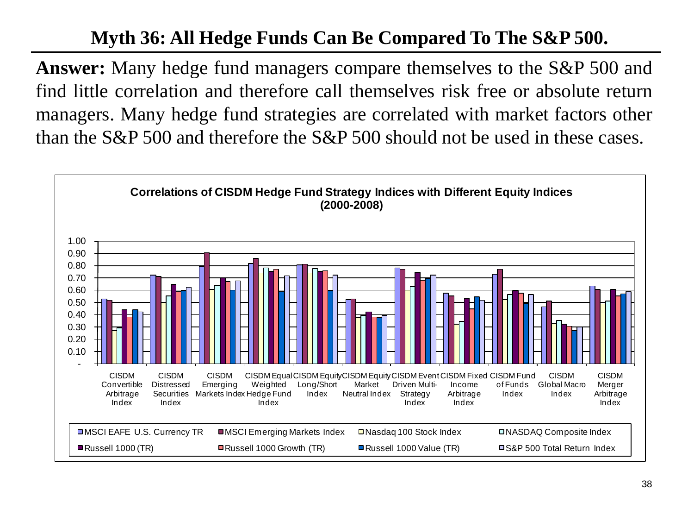## **Myth 36: All Hedge Funds Can Be Compared To The S&P 500.**

**Answer:** Many hedge fund managers compare themselves to the S&P 500 and find little correlation and therefore call themselves risk free or absolute return managers. Many hedge fund strategies are correlated with market factors other than the S&P 500 and therefore the S&P 500 should not be used in these cases.

![](_page_37_Figure_2.jpeg)